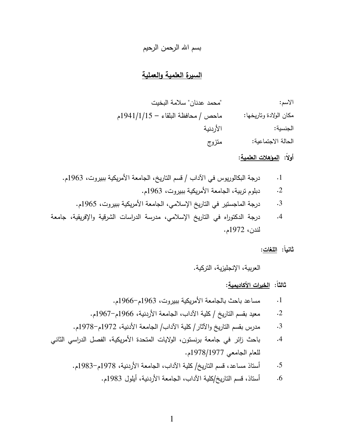### بسم الله الرحمن الرحيم

#### <u>السيرة العلمية والعملية</u>

 - " " : ماحص / محافظة البلقاء - 1941/1/15م مكان الولادة وتاريخها: -& :-الجنسية: متزوج الحالة الاجتماعية:

## أولاً: ا<u>لمؤهلات العلمية</u>:

 .1963 /- -- & 0 % /1- . / \*+ ,# -- % .1 .1963 /- -- & 0 % /- ! .2 .1965 /- -- & 0 % /, 2 1- ,# -% % .3

4. درجة الدكتوراه في التاريخ الإسلامي، مدرسة الدراسات الشرقية والإفريقية، جامعة لندن، 1972م.

#### ثانياً: <u>اللغات</u>:

العربية، الإنجليزية، التركية.

ثالثاً: <u>الخبرات الأكاديمية</u>:

 .196661963 /- -- & 0 % 5 .1

 .196761966 /-& 0 % /\*+ -! / 1-  -0 .2

- 3. مدرس بقسم التاريخ والآثار / كلية الآداب/ الجامعة الأدنية، 1972م–1978م.
- 4. باحث زائر في جامعة برنستون، الولايات المتحدة الأمريكية، الفصل الدراسي الثاني للعام الجامعي 1978/1977م.
	- 5. أستاذ مساعد، قسم التاريخ/ كلية الآداب، الجامعة الأردنية، 1978م–1983م.
		- 6. أستاذ، قسم التاريخ/كلية الآداب، الجامعة الأردنية، أيلول 1983م.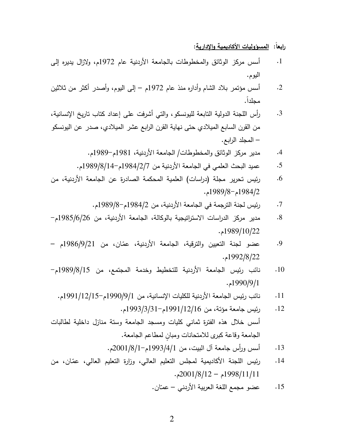رابعا: <u>المسؤوليات الأكاديمية والإدارية</u>:

- 1. أسس مركز الوثائق والمخطوطات بالجامعة الأردنية عام 1972م، ولازال يديره إلى اليوم.
- 2. أسس مؤتمر بلاد الشام وأداره منذ عام 1972م إلىي البوم، وأصدر أكثر من ثلاثين محلداً.
- 3. رأس اللجنة الدولية النابعة لليونسكو ، والني أشرفت على إعداد كناب ناريخ الإنسانية، من القرن السابع الميلادي حتى نهاية القرن الرابع عشر الميلادي، صدر عن اليونسكو – المجلد الرابع.
	- 4. مدير مركز الوثائق والمخطوطات/ الجامعة الأردنية، 1981م–1989م.
	- 5. عميد البحث العلمي في الجامعة الأردنية من 1984/2/1984م–1989/8/14م.
- يس تحرير مجلة (دراسات) العلمية المحكمة الصادرة عن الجامعة الأردنية، من ; .6  $.1989/8 - 1984/2$ 
	- يس لجنة الترجمة في الجامعة الأردنية، من 1984/2م-1989/8م. ; .7
- 8. مدير مركز الدراسات الاستراتيجية بالوكالة، الجامعة الأردنية، من 985/6/26م– . 1989/10/22
- 9. عضو لجنة التعيين والترقية، الجامعة الأردنية، عمّان، من 21/9/1986م . 1992/8/22
- 10. نائب رئيس الجامعة الأردنية للتخطيط وخدمة المجتمع، من 989/8/15م– . 1990/9/1
- 11. نائب رئيس الجامعة الأردنية للكليات الإنسانية، من 1990/9/15-1991م-1991م.
- رئيس جامعة مؤنة، من 1991/12/16م-1993/3/391م. ; .12 أسس خلال هذه الفترة ثماني كليات ومسجد الجامعة وستة منازل داخلية لطالبات الجامعة وقاعة كبرى للامتحانات ومبان لمطاعم الجامعة.
	- 13. أسس ورأس جامعة أل الببيت، من 1/4/1993م–2001/8/1،
- يس اللجنة الأكاديمية لمجلس التعليم العالي، وزارة التعليم العالي، عمّان، من ; .14  $.2001/8/12 - 1998/11/11$ 
	- 15. عضو مجمع اللغة العربية الأردني عمـّان.<br>ـ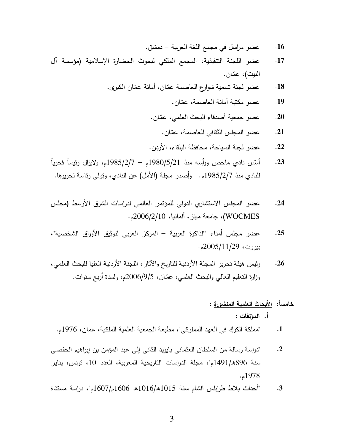- عضو مراسل في مجمع اللغة العربية دمشق.  $.16$
- عضو اللجنة التنفيذية، المجمع الملكي لبحوث الحضارة الإسلامية (مؤسسة آل  $.17$ البيت)، عمّان.
	- عضو لجنة تسمية شوارع العاصمة عمّان، أمانة عمّان الكبرى.  $.18$ 
		- عضو مكتبة أمانة العاصمة، عمّان.  $.19$
		- عضو جمعية أصدقاء البحث العلمي، عمّان.  $.20$ 
			- عضو المجلس الثقافي للعاصمة، عمّان.  $.21$
		- عضو لجنة السياحة، محافظة البلقاء، الأردن.  $.22$
- أَسِّس نادي ماحص ورأسه منذ 1980/5/21م 1985/2/7م، ولايزال رئيساً فخرياً  $.23$ للنادي منذ 1985/2/7م. وأصدر مجلة (الأمل) عن النادي، وتولَّى رئاسة تحريرها.
- عضو المجلس الاستشاري الدولي للمؤتمر العالمي لدراسات الشرق الأوسط (مجلس  $.24$ WOCMES)، جامعة مينز، ألمانيا، 2006/2/10م.
- عضو مجلس أمناء "الذاكرة العربية المركز العربي لتوثيق الأوراق الشخصية"،  $.25$ بيروت، 2005/11/29م.
- رئيس هيئة تحرير المجلة الأردنية للتاريخ والآثار ، اللجنة الأردنية العليا للبحث العلمي،  $.26$ وزارةِ التعليمِ العالي والبحث العلمي، عمّان، 9/5/2006م، ولمدة أربع سنوات.

#### خامساً: الأبحاث العلمية المنشورة :

أ. المؤلفات :

- "مملكة الكرك في العهد المملوكي"، مطبعة الجمعية العلمية الملكية، عمان، 1976م.  $\cdot$ 1
- "دراسة رسالة من السلطان العثماني بابزيد الثاني إلى عبد المؤمن بن إبراهيم الحفصبي  $\cdot$ .2 سنة 896هـ/1491م"، مجلة الدراسات التاريخية المغربية، العدد 10، تونس، يناير  $.1978$ م.
- "أحداث بلاط طرابلس الشام سنة 1015هـ/1016هـ−1606م/1607م"، دراسة مستقاة  $.3$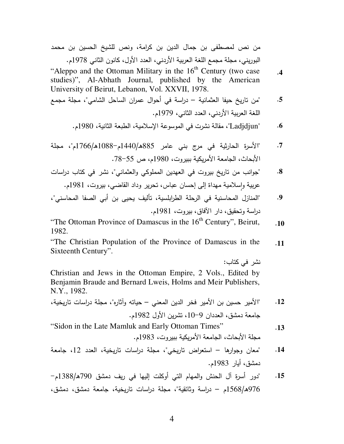من نص لمصطفى بن جمال الدين بن كرامة، ونص للشيخ الحسين بن محمد البوريني، مجلة مجمع اللغة العربية الأردني، العدد الأول، كانون الثاني 1978م.

"Aleppo and the Ottoman Military in the 16<sup>th</sup> Century (two case  $\cdot$ 4 studies)", Al-Abhath Journal, published by the American University of Beirut, Lebanon, Vol. XXVII, 1978.

- "من تاريخ حيفا العثمانية دراسة في أحوال عمران الساحل الشامي"، مجلة مجمع  $.5$ اللغة العربية الأردني، العدد الثاني، 1979م.
	- "Ladjdjun"، مقالة نشرت في الموسوعة الإسلامية، الطبعة الثانية، 1980م.  $\cdot$  6

- "جوانب من تاريخ بيروت في العهدين المملوكي والعثماني"، نشر في كتاب دراسات  $\boldsymbol{.8}$ عربية وإسلامية مهداة إلى إحسان عباس، تحرير وداد القاضبي، بيروت، 1981م.
- "المنازل المحاسنية في الرجلة الطرابلسية، تأليف يحيى بن أبي الصفا المحاسني"، .9 دراسة وتحقيق، دار الآفاق، بيروت، 1981م.

"The Ottoman Province of Damascus in the 16<sup>th</sup> Century", Beirut,  $.10$ 1982.

"The Christian Population of the Province of Damascus in the  $.11$ Sixteenth Century".

نشر فے کتاب: Christian and Jews in the Ottoman Empire, 2 Vols., Edited by Benjamin Braude and Bernard Lweis, Holms and Meir Publishers, N.Y., 1982.

- "Sidon in the Late Mamluk and Early Ottoman Times"  $.13$ مجلة الأبحاث، الجامعة الأمربكية ببيروت، 1983م.
- "معان وجوارها استعراض تاريخي"، مجلة دراسات تاريخية، العدد 12، جامعة  $.14$ دمشق، أبار 1983م.
- "دور أسرةٍ آل الحنش والمهام التي أوكلت إليها في ريف دمشق 790هـ/1388م  $.15$ 976ﻫ/1568م – دراسة وثائقية"، مجلة دراسات تاريخية، جامعة دمشق، دمشق،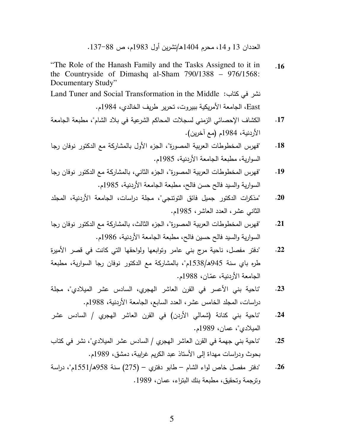العددان 13 و 14، محرم 1404هـ/تشرين أول 1983م، ص 88–137.

"The Role of the Hanash Family and the Tasks Assigned to it in . **16** the Countryside of Dimashq al-Sham 790/1388 – 976/1568: Documentary Study"

Land Tuner and Social Transformation in the Middle :نشر في كتاب East، الجامعة الأمريكية ببيروت، تحرير طريف الخالدي، 1984م.

- 17. الكشاف الإحصائي الزمني لسجلات المحاكم الشرعية في بلاد الشام"، مطبعة الجامعة الأردنية، 1984م (مع آخرين).
- 18. "فهرس المخطوطات العربية المصورة"، الجزء الأول بالمشاركة مع الدكتور نوفان رجا السوارية، مطبعة الجامعة الأردنية، 1985م.
- 19. "فهرس المخطوطات العربية المصورة"، الجزء الثاني، بالمشاركة مع الدكتور نوفان رجا السوارية والسيد فالح حسن فالح، مطبعة الجامعة الأردنية، 1985م.
- 20. "مذكرات الدكتور جميل فائق التونتجي"، مجلة دراسات، الجامعة الأردنية، المجلد الثانبي عشر، العدد العاشر، 1985م.
- 21. "فهرس المخطوطات العربية المصورة"، الجزء الثالث، بالمشاركة مع الدكتور نوفان رجا السوارية والسيد فالح حسين فالح، مطبعة الجامعة الأردنية، 1986م.
- 22. "دفتر مفصل، ناحية مرج بني عامر وتوابعها ولواحقها التي كانت في قصر الأميرة طره باي سنة 945هـ/1538م"، بالمشاركة مع الدكتور نوفان رجا السوارية، مطبعة الجامعة الأردنية، عمّان، 1988م.
- 23. "ناحية بني الأعسر في القرن العاشر الهجري، السادس عشر الميلادي"، مجلة دراسات، المجلد الخامس عشر ، العدد السابع، الجامعة الأردنية، 1988م.
- 24. "ناحية بني كنانة (شمالي الأردن) في القرن العاشر الهجري / السادس عشر الميلادي"، عمان، 1989م.
- \* ,# 3 /"D- 3 / D% 30 ,# % , -" . **25** بحوث ودراسات مهداة إلى الأستاذ عبد الكريم غرايبة، دمشق، 1989م.
- .<br>**26. "دفتر مفصل خاص لواء الشام طابو دفتري (275) سنة 958هـ/1551م"، دراسة** ونرجمة ونحقيق، مطبعة بنك البتراء، عمان، 1989.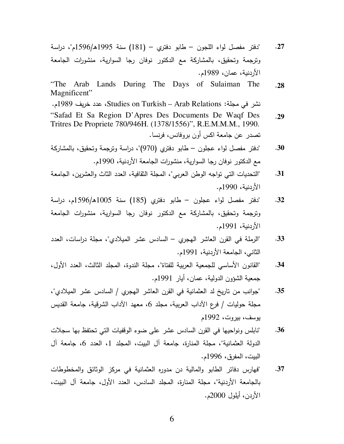- "دفتر مفصل لواء اللجون طابو دفتري (181) سنة 1995هـ/1596م"، دراسة  $.27$ وترجمة وتحقيق، بالمشاركة مع الدكتور نوفان رجا السوارية، منشورات الجامعة الأردنية، عمان، 1989م.
- Lands During The Days of Sulaiman The "The Arab  $.28$ Magnificent"

نشر في مجلة: Studies on Turkish – Arab Relations، عدد خريف 1989م.

- "Safad Et Sa Region D'Apres Des Documents De Waqf Des  $.29$ Tritres De Propriete 780/946H. (1378/1556)", R.E.M.M.M., 1990. تصدر عن جامعة اكس أون بروفانس، فرنسا.
- "دفتر مفصل لواء عجلون طابو دفتري (970)"، دراسة وترجمة وتحقيق، بالمشاركة  $.30$ مع الدكتور نوفان رجا السوارية، منشورات الجامعة الأردنية، 1990م.
- "التحديات التي تواجه الوطن العربي"، المجلة الثقافية، العدد الثاث والعشرين، الجامعة .31 الأردنية، 1990م.
- "دفتر مفصل لواء عجلون طابو دفتري (185) سنة 1005هـ/1596م، دراسة  $.32$ وترجمة وتحقيق، بالمشاركة مع الدكتور نوفان رجا السوارية، منشورات الجامعة الأردنية، 1991م.
- "الرملة في القرن العاشر الهجري السادس عشر الميلادي"، مجلة دراسات، العدد  $.33$ الثاني، الجامعة الأردنية، 1991م.
- "القانون الأساسي للجمعية العربية للفتاة"، مجلة الندوة، المجلد الثالث، العدد الأول،  $.34$ جمعية الشؤون الدولية، عمان، أيار 1991م.
- "جوانب من ناريخ لد العثمانية في القرن العاشر الهجري / السادس عشر الميلادي"،  $.35$ مجلة حوليات / فرع الآداب العربية، مجلد 6، معهد الآداب الشرقية، جامعة القديس بوسف، بیروت، 1992م
- "نابلس ونواحيها في القرن السادس عشر على ضوء الوقفيات التي تحتفظ بها سجلات  $.36$ الدولة العثمانية"، مجلة المنارة، جامعة آل البيت، المجلد 1، العدد 6، جامعة آل البيت، المفرق، 1996م.
- "فهارس دفاتر الطابو والمالية دن مدوره العثمانية في مركز الوثائق والمخطوطات  $.37$ بالجامعة الأردنية"، مجلة المنارة، المجلد السادس، العدد الأول، جامعة آل البيت، الأردن، أيلول 2000م.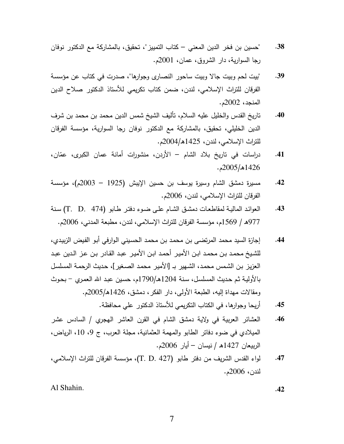- "حسين بن فخر الدين المعنى كتاب التمييز "، تحقيق، بالمشاركة مع الدكتور نوفان .38 رجا السوارية، دار الشروق، عمان، 2001م.
- "بيت لحم وبيت جالا وبيت ساحور النصاري وجوارها"، صدرت في كتاب عن مؤسسة .39 الفرقان للتراث الإسلامي، لندن، ضمن كتاب تكريمي للأستاذ الدكتور صلاح الدين المنجد، 2002م.
- تاريخ القدس والخليل عليه السلام، تأليف الشيخ شمس الدين محمد بن محمد بن شرف  $.40$ الدين الخليلي، تحقيق، بالمشاركة مع الدكتور نوفان رجا السوارية، مؤسسة الفرقان للنراث الإسلامي، لندن، 1425هـ/2004م.
- دراسات في تاريخ بلاد الشام الأردن، منشورات أمانة عمان الكبرى، عمّان، .41  $-2005/1426$ .
- مسيرة دمشق الشام وسيرة يوسف بن حسين الإيبش (1925 2003م)، مؤسسة  $.42$ الفرقان للتراث الإسلامي، لندن، 2006م.
- العوائد المالية لمقاطعات دمشق الشام على ضوء دفتر طابو (T. D. 474) سنة  $.43$ 977هـ / 1569م، مؤسسة الفرقان للنزات الإسلامي، لندن، مطبعة المدني، 2006م.
- إجازة السيد محمد المرتضبي بن محمد بن محمد الحسيني الوارفي أبو الفيض الزبيدي،  $.44$ للشيخ محمد بن محمد ابن الأمير أحمد ابن الأمير عبد القادر بن عز الدين عبد العزيز بن الشمس محمد، الشهير بـ [الأمير محمد الصغير]، حديث الرحمـة المسلسل بالأولية ثم حديث المسلسل، سنة 1204هـ/1790م، حسين عبد الله العمري – بحوث ومقالات مهداة إليه، الطبعة الأولى، دار الفكر، دمشق، 1426هـ/2005م.
	- أربحا وجوارها، في الكتاب التكريمي للأستاذ الدكتور على محافظة. .45
- العشائر العربية في ولاية دمشق الشام في القرن العاشر الهجري / السادس عشر  $.46$ الميلادي في ضوءِ دفاتر الطابو والمهمة العثمانية، مجلة العرب، ج 9، 10، الرياض، الربيعان 1427ه / نيسان – أيار 2006م.
- لواء القدس الشريف من دفتر طابو (T. D. 427)، مؤسسة الفرقان للتراث الإسلامي، .47 لندن، 2006م.

Al Shahin.

 $.42$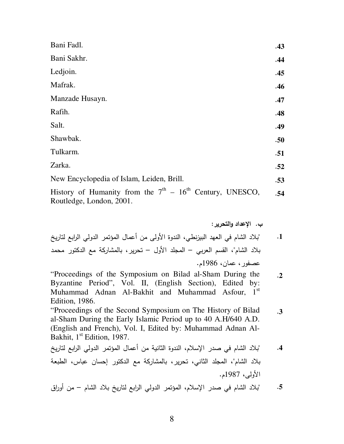| Bani Fadl.                                                 | .43 |
|------------------------------------------------------------|-----|
| Bani Sakhr.                                                | .44 |
| Ledjoin.                                                   | .45 |
| Mafrak.                                                    | .46 |
| Manzade Husayn.                                            | .47 |
| Rafih.                                                     | .48 |
| Salt.                                                      | .49 |
| Shawbak.                                                   | .50 |
| Tulkarm.                                                   | .51 |
| Zarka.                                                     | .52 |
| New Encyclopedia of Islam, Leiden, Brill.                  | .53 |
| History of Humanity from the $7th - 16th$ Century, UNESCO, | .54 |

Routledge, London, 2001.

ب. الإعداد والتحرير :

- "بلاد الشام في العهد البيزنطي، الندوة الأولى من أعمال المؤتمر الدولي الرابع لتاريخ  $\cdot$ **1** بلاد الشام"، القسم العربي – المجلد الأول – نحرير ، بالمشاركة مع الدكتور محمد عصفور، عمان، 1986م.
- "Proceedings of the Symposium on Bilad al-Sham During the  $\cdot$ .2 Byzantine Period", Vol. II, (English Section), Edited by: Muhammad Adnan Al-Bakhit and Muhammad Asfour, 1st Edition, 1986.

"Proceedings of the Second Symposium on The History of Bilad  $.3$ al-Sham During the Early Islamic Period up to 40 A.H/640 A.D. (English and French), Vol. I, Edited by: Muhammad Adnan Al-Bakhit, 1<sup>st</sup> Edition, 1987.

"بلاد الشام في صدر الإسلام، الندوة الثانية من أعمال المؤتمر الدولي الرابع لتاريخ  $.4$ بلاد الشام"، المجلد الثاني، تحرير، بالمشاركة مع الدكتور إحسان عباس، الطبعة الأولى، 1987م.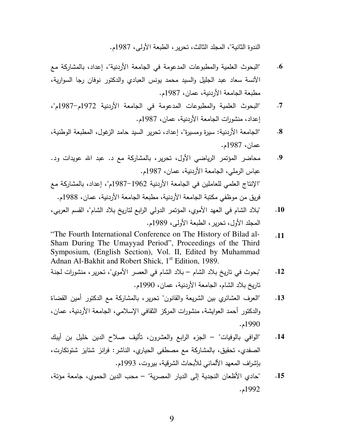الندوة الثانية"، المجلد الثالث، تحرير ، الطبعة الأولى، 1987م.

- 6. "البحوث العلمية والمطبوعات المدعومة في الجامعة الأردنية"، إعداد، بالمشاركة مع الأنسة سعاد عبد الجليل والسيد محمد يونس العبادي والدكتور نوفان رجا السوارية، مطبعة الجامعة الأردنية، عمان، 1987م.
- 7. "البحوث العلمية والمطبوعات المدعومة في الجامعة الأردنية 1972م-1987م"، إعداد، منشورات الجامعة الأردنية، عمان، 1987م.
- 8. "الجامعة الأردنية: سيرة ومسيرة"، إعداد، تحرير السيد حامد الزغول، المطبعة الوطنية، عمان، 1987م.
- 9. محاضر المؤتمر الرياضي الأول، تحرير، بالمشاركة مع د. عبد الله عويدات ود. عباس الرملي، الجامعة الأردنية، عمان، 1987م. الإنتاج العلمي للعاملين في الجامعة الأردنية 1962–1987م"، إعداد، بالمشاركة مع" فريق من موظفي مكتبة الجامعة الأردنية، مطبعة الجامعة الأردنية، عمان، 1988م.
- 10. "بلاد الشام في العهد الأموي، المؤتمر الدولي الرابع لتاريخ بلاد الشام"، القسم العربي، المجلد الأول، تحرير ، الطبعة الأولى، 1989م.
- "The Fourth International Conference on The History of Bilad al- . **11** Sham During The Umayyad Period", Proceedings of the Third Symposium, (English Section), Vol. II, Edited by Muhammad Adnan Al-Bakhit and Robert Shick, 1<sup>st</sup> Edition, 1989.
- 12. "بحوث في تاريخ بلاد الشام بلاد الشام في العصر الأموي"، تحرير ، منشورات لجنة تاريخ بلاد الشام، الجامعة الأردنية، عمان، 1990م.
- 13. "العرف العشائري بين الشريعة والقانون" تحرير ، بالمشاركة مع الدكتور أمين القضاة والدكتور أحمد العوايشة، منشورات المركز الثقافي الإسلامي، الجامعة الأردنية، عمان، . 1990
- 14. "الوافي بالوفيات" الجزء الرابع والعشرون، نأليف صلاح الدين خليل بن أيبك الصفدي، تحقيق، بالمشاركة مع مصطفى الحياري، الناشر : فرانز شتايز شتوتكارت، بإشراف المعهد الألماني للأبحاث الشرقية، بيروت، 1993م.
- 15. "حادي الأظعان النجدية إلى الديار المصرية" محب الدين الحموي، جامعة مؤنة، . 1992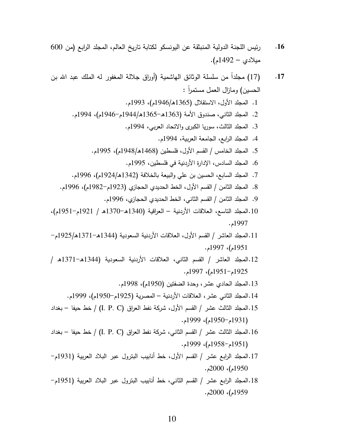2000م)، 2000م.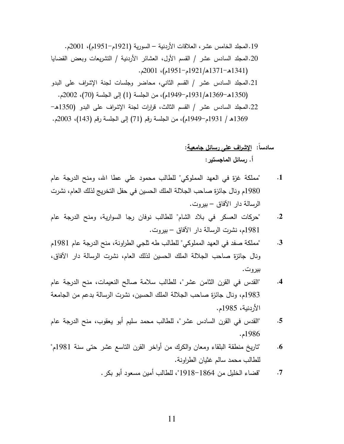.2001 /(195161921) - – -& .0 /3 - !% .19 -H V0 0-3 / -& ;30 /8& / 3 - !% .20 . 2001 ( / 1951 6 1921 IK/ 1371 IK6 1341)  @! T32 % !% H /,7 / 3 - !% .21 . 2002 ( / 70) !% @A (1) !% / ( 1949 6 1931 IK/ 1369 IK6 1350) IK 6 1350)  @! T32 % . /57 / 3 - !% .22 . 2003 ( / 143) . !% @A (71) . !% / ( 1949 6 1931 / IK1369

# سادسا: ا<u>لإشراف على رسائل جامعية</u>: أ. رسائل الماجستير :

- 1. "مملكة غزة في العهد المملوكي" للطالب محمود علي عطا الله، ومنح الدرجة عام 1980م ونال جائزة صاحب الجلالة الملك الحسين في حفل التخريج لذلك العام، نشرت الرسالة دار الأفاق – بيروت.
- .<br>2. "حركات العسكر في بلاد الشام" للطالب نوفان رجا السوارية، ومنح الدرجة عام 1981م، نشرت الرسالة دار الآفاق – بيروت.
- 3. "مملكة صفد في العهد المملوكي" للطالب طه نلجي الطراونة، منح الدرجة عام 1981م ونال جائزة صاحب الجلالة الملك الحسين لذلك العام، نشرت الرسالة دار الأفاق، بيروت.
- 4. القدس في القرن الثامن عشر "، للطالب سلامة صالح النعيمات، منح الدرجة عام 1983م، ونال جائزة صاحب الجلالة الملك الحسين، نشرت الرسالة بدعم من الجامعة الأردنية، 1985م.
- 5. "القدس في القرن السادس عشر"، للطالب محمد سليم أبو يعقوب، منح الدرجة عام . 1986
- 6. "تاريخ منطقة البلقاء ومعان والكرك من أواخر القرن الناسع عشر حتى سنة 1981م" للطالب محمد سالم غثيان الطراونة.
	- 7. "قضاء الخليل من 1864–1918"، للطالب أمين مسعود أبو بكر .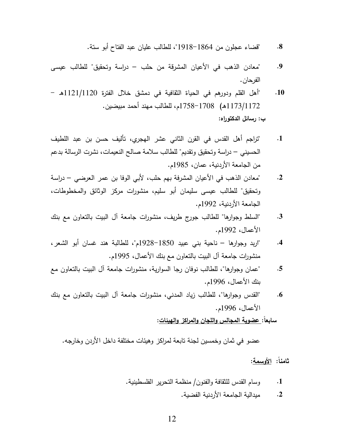- 8. "قضاء عجلون من 1864–1918"، للطالب عليان عبد الفتاح أبو سنة.
- 9. "معادن الذهب في الأعيان المشرقة من حلب دراسة وتحقيق" للطالب عيسى الفرحان .
- 10. "أهل القلم ودورهم في الحياة الثقافية في دمشق خلال الفترة 1121/1120هـ 1173/1172هـ) 1758–1758م، للطالب مهند أحمد مبيضين. ب: رسائل الدكتوراه:
- 1. "تزلجم أهل القدس في القرن الثاني عشر الهجري، تأليف حسن بن عبد اللطيف الحسيني – دراسة وتحقيق وتقديم" للطالب سلامة صالح النعيمات، نشرت الرسالة بدعم من الجامعة الأردنية، عمان، 1985م.
- 2. المعادن الذهب في الأعيان المشرفة بهم حلب، لأبي الوفا بن عمر العرضبي دراسة وتحقيق" للطالب عيسى سليمان أبو سليم، منشورات مركز الوثائق والمخطوطات، الجامعة الأردنية، 1992م.
- 3. "السلط وجوارها" للطالب جورج طريف، منشورات جامعة آل الببيت بالتعاون مع بنك الأعمال، 1992م.
- 4. "اريد وجوارها ناحية بني عبيد 1850<sup>–19</sup>28م"، للطالبة هند غسان أبو الشعر ، منشورات جامعة أل الببيت بالنعاون مع بنك الأعمال، 1995م.
- 5. "عمان وجوارها"، للطالب نوفان رجا السوارية، منشورات جامعة أل البيت بالتعاون مع بنك الأعمال، 1996م.
- 6. "القدس وجوارها"، للطالب زياد المدني، منشورات جامعة آل الببيت بالتعاون مع بنك الأعمال، 1996م.

سابعاً: عضوية المجالس واللجان والمراكز والهيئات:

عضو في ثمان وخمسين لجنة تابعة لمراكز وهيئات مختلفة داخل الأردن وخارجه.

ثامناً: الأوسمة:

- 1. وسام القدس للثقافة والفنون/ منظمة التحرير الفلسطينية.
	- يدالية الجامعة الأردنية الفضية. . **2**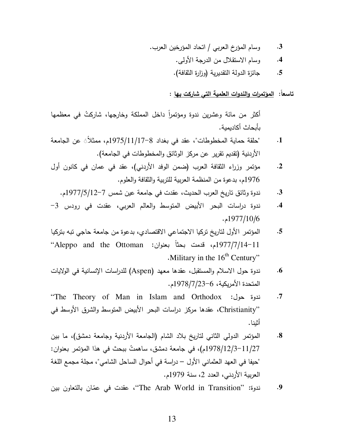- وسام المؤرخ العربي / انحاد المؤرخين العرب.  $.3$ 
	- وسام الاستقلال من الدرجة الأولى.  $.4$
	- جائزة الدولة النقديرية (وزارة الثقافة).  $.5$

تاسعاً: الموتمرات والندوات العلمية التي شاركت بها :

أكثر من مائة وعشرين ندوة ومؤتمراً داخل المملكة وخارجها، شاركتُ في معظمها بأبحاث أكاديمية.

- "حلقة حماية المخطوطات"، عقد في بغداد 8-19/11/17/3م، ممثلاً َ عن الجامعة  $\cdot$ 1 الأردنية (تقديم تقرير عن مركز الوثائق والمخطوطات في الجامعة).
- مؤتمر وزراء الثقافة العرب (ضمن الوفد الأردني)، عقد في عمان في كانون أول  $\cdot$ .2 1976م، بدعوة من المنظمة العربية للتربية والثقافة والعلوم.
	- ندوة وثائق تاريخ العرب الحديث، عقدت في جامعة عين شمس 7–1977/5/12م.  $.3$
- ندوة دراسات البحر الأبيض المتوسط والعالم العربي، عقدت في رودس 3- $\cdot$ 4 1977/10/6
- المؤتمر الأول لتاريخ تركيا الاجتماعي الاقتصادي، بدعوة من جامعة حاجي تبه بتركيا  $.5$ 1977/7/14-11م، قدمت بحثاً بعنوان: Aleppo and the Ottoman" Military in the  $16<sup>th</sup>$  Century"
- ندوة حول الاسلام والمستقبل، عقدها معهد (Aspen) للدراسات الإنسانية في الولايات  $\cdot 6$ المتحدة الأمريكية، 6-1978/7/23م.
- ندوة حول: The Theory of Man in Islam and Orthodox"  $.7$ "Christianity، عقدها مركز دراسات البحر الأبيض المتوسط والشرق الأوسط في أثبنا .
- المؤتمر الدولي الثاني لتاريخ بلاد الشام (الجامعة الأردنية وجامعة دمشق)، ما بين  $\boldsymbol{.8}$ 11/27/12/3-13م)، في جامعة دمشق، ساهمتُ ببحث في هذا المؤتمر بعنوان: "حيفا في العهد العثماني الأول – دراسة في أحوال الساحل الشامي"، مجلة مجمع اللغة العربية الأردني، العدد 2، سنة 1979م.
- ندوة: "The Arab World in Transition"، عقدت في عمّان بالتعاون بين .9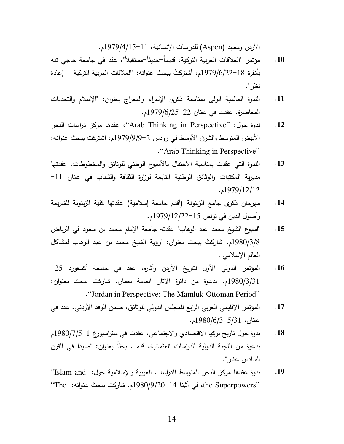الأردن ومعهد (Aspen) للدراسات الإنسانية، 11–1979/4/15-15م.

- مؤتمر "العلاقات العربية التركية، قديماً–حديثاً–مستقبلاً"، عقد في جامعة حاجي تبه  $.10$ بأنقرة 18–1979/6/22م، أشتركتُ ببحث عنوانه: "العلاقات العربية التركية – إعادة نظر ".
- الندوة العالمية الولى بمناسبة ذكرى الإسراء والمعراج بعنوان: "الإسلام والتحديات  $.11$ المعاصرة، عقدت في عمّان 22-1979/6/25م.
- ندوة حول: "Arab Thinking in Perspective"، عقدها مركز دراسات البحر  $.12$ الأبيض المتوسط والشرق الأوسط في رودس 2–9/9/9/9م، اشتركت ببحث عنوانه: "Arab Thinking in Perspective"
- الندوة التي عقدت بمناسبة الاحتفال بالأسبوع الوطني للوثائق والمخطوطات، عقدتها  $.13$ مديرية المكتبات والوثائق الوطنية التابعة لوزارة الثقافة والشباب في عمّان 11– 1979/12/12.
- مهرجان ذكرى جامع الزينونة (أقدم جامعة إسلامية) عقدتها كلية الزينونة للشريعة  $.14$ وأصول الدين في تونس 15–1979/12/22م.
- "أسبوع الشيخ محمد عبد الوهاب" عقدته جامعة الإمام محمد بن سعود في الرياض  $.15$ 1980/3/8م، شاركتُ ببحث بعنوان: "رؤية الشيخ محمد بن عبد الوهاب لمشاكل العالم الإسلامي".
- المؤتمر الدولي الأول لتاريخ الأردن وآثاره، عقد في جامعة أكسفورد 25–  $.16$ 1980/3/31م، بدعوة من دائرة الآثار العامة بعمان، شاركت ببحث بعنوان: ."Jordan in Perspective: The Mamluk-Ottoman Period"
- المؤتمر الإقليمي العربي الرابع للمجلس الدولي للوثائق، ضمن الوفد الأردني، عقد في  $.17$ عمّان، 5/13-1980/6/3-14.
- ندوة حول ناريخ نركيا الاقتصادي والاجتماعي، عقدت في ستراسبورغ 1−1980/7/5 م  $.18$ بدعوة من اللجنة الدولية للدراسات العثمانية، قدمت بحثاً بعنوان: "صبدا في القرن السادس عشر ".
- ندوة عقدها مركز البحر المنوسط للدراسات العربية والإسلامية حول: 'Islam and'' .19 "the Superpowers، في أَثينا 14−980/9/20م، شاركت ببحث عنوانه: The''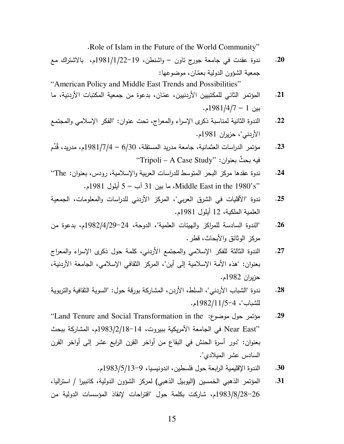.Role of Islam in the Future of the World Community"

20. ندوة عقدت في جامعة جورج تاون – واشنطن، 19 $\frac{1981}{1/22-19}$ م، بالاشتراك مع جمعية الشؤون الدولية بعمّان، موضوعها: "American Policy and Middle East Trends and Possibilities"

- 21. المؤتمر الثاني للمكتبيين الأردنيين، عمّان، بدعوة من جمعية المكتبات الأردنية، ما بين 1 – 1/4/1981م.
- 22. الندوة الثانية لمناسبة ذكرى الإسراء والمعراج، تحت عنوان: "الفكر الإسلامي والمجتمع الأردني"، حزيران 1981م.
- 23. مؤتمر الدراسات العثمانية، جامعة مدريد المستقلة، 6/30 1/7/4/1981م، مدريد، قُدِّم فيه بحثٌ بعنوان: ''Tripoli – A Case Study''
- 24. ندوة عقدها مركز البحر المتوسط للدراسات العربية والإسلامية، رودس، بعنوان: The<sup>.</sup> . Middle East in the 1980's" ما بين 31 آب – 5 أيلول 1981م.
- 25. ندوة "الأقليات في الشرق العربي"، المركز الأردني للدراسات والمعلومات، الجمعية العلمية الملكية، 12 أيلول 1981م.
- 26. "الندوة السادسة للمراكز والهيئات العلمية"، الدوحة، 24–1982/4/29م، بدعوة من مركز الوثائق والأبحاث، قطر .
- 27. الندوة الثالثة للفكر الإسلامي والمجتمع الأردني، كلمة حول ذكرى الإسراء والمعراج بعنوان: "هذه الأمة الإسلامية إلى أين"، المركز النقافي الإسلامي، الجامعة الأردنية، حزيران 1982م.
- 28. ندوة "الشباب الأردني"، السلط، الأردن، المشاركة بورقة حول: "السوية الثقافية والتربوية  $1982/11/5$ -4  $-1982/11$
- "Land Tenure and Social Transformation in the :PH 8 B . **29** ''Near East في الجامعة الأمريكية ببيروت، 14−1983/2/18م، المشاركة ببحث بعنوان: "دور أسرة الحنش في البقاع من أواخر القرن الرابع عشر إلى أواخر القرن السادس عشر المبلادي".
	- 30. الندوة الإقليمية الرابعة حول فلسطين، اندونيسيا، 9–1983/5/13<sub>0م</sub>.
- 31. المؤتمر الذهبي الخمسين (اليوبيل الذهبي) لمركز الشؤون الدولية، كانبيرا / استراليا، 1983/8/28–26م، شاركت بكلمة حول "اقتراحات لإنقاذ المؤسسات الدولية من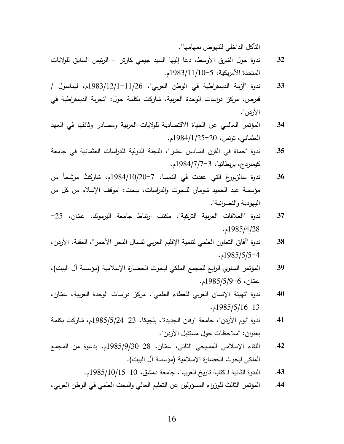التآكل الداخلي للنهوض بمهامها".

- 32. ندوة حول الشرق الأوسط، دعا إليها السيد جيمي كارتر الرئيس السابق للولايات المتحدة الأمريكية، 5−1983/11/10م.
- 33. ندوة "أزمة الديمقراطية في الوطن العربي"، 11/26/1983/12/1-1983م، ليماسول / قبرص، مركز دراسات الوحدة العربية، شاركت بكلمة حول: "تجربة الديمقراطية في الأردن".
- 34. المؤتمر العالمي عن الحياة الاقتصادية للولايات العربية ومصادر وثائقها في العهد . العثماني، نونس، 20-1984/1/25م
- 35. ندوة "حماة في القرن السادس عشر"، اللجنة الدولية للدراسات العثمانية في جامعة كيمبردج، بريطانيا، 3–7/7/1984م.
- 3**6. ندوة سالزبورغ التي عقدت في النمسا، 7–2984/10/20م، شاركتُ مرشحاً من** مؤسسة عبد الحميد شومان للبحوث والدراسات، ببحث: "موقف الإسلام من كل من اليهودية والنصرانية".
- 37. ندوة "العلاقات العربية التركية"، مكتب ارتباط جامعة البرموك، عمّان، 25– . 1985/4/28
- 38. ندوة "أفاق النعاون العلمي لنتمية الإقليم العربي لشمال البحر الأحمر"، العقبة، الأردن،  $.1985/5/5 - 4$
- 39. المؤتمر السنوي الرابع للمجمع الملكي لبحوث الحضارة الإسلامية (مؤسسة آل البيت)، عمّان، 6–1985/5/96م.
- 40. ندوة "تهيئة الإنسان العربي للعطاء العلمي"، مركز دراسات الوحدة العربية، عمّان،  $.1985/5/16-13$
- 41. ندوة "يوم الأردن"، جامعة "وفان الجديدة"، بلجيكا، 23–1985/5/24م، شاركت بكلمة بعنوان: "ملاحظات حول مستقبل الأردن".
- 42. اللقاء الإسلامي المسيحي الثاني، عمّان، 28–1985/9/30م، بدعوة من المجمع الملكي لبحوث الحضارة الإسلامية (مؤسسة ال البيت).
	- 43. الندوة الثانية لـ"كتابة تاريخ العرب"، جامعة دمشق، 10−15/10/15 15م.
- 44. المؤتمر الثالث للوزراء المسؤولين عن النعليم العالي والبحث العلمي في الوطن العربي،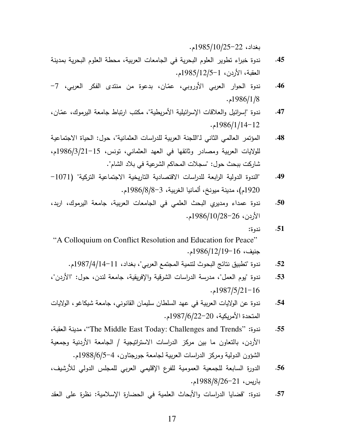$.1985/10/25-22$ بغداد، 22

- 45. ندوة خبراء تطوير العلوم البحرية في الجامعات العربية، محطة العلوم البحرية بمدينة العقبة، الأردن، 1-1985/12/5م.
- 46. ندوة الحوار العربي الأوروبي، عمّان، بدعوة من منتدى الفكر العربي، 7–  $.1986/1/8$
- 47. ندوة "إسرائيل والعلاقات الإسرائيلية الأمريطية"، مكتب ارتباط جامعة اليرموك، عمّان،  $.1986/1/14-12$
- 48. المؤتمر العالمي الثاني لـ"اللجنة العربية للدراسات العثمانية"، حول: الحياة الاجتماعية للولايات العربية ومصادر وثائقها في العهد العثماني، تونس، 15−1986/3/21م، شاركت ببحث حول: "سجلات المحاكم الشرعية في بلاد الشام".
- 49. "الندوة الدولية الرابعة للدراسات الاقتصادية الناريخية الاجتماعية التركية" (1071– 1920م)، مدينة ميونخ، ألمانيا الغربية، 3–8/1986/8م.
- 50. ندوة عمداء ومديري البحث العلمي في الجامعات العربية، جامعة اليرموك، اربد،  $.1986/10/28-26$ الأردن، 26–1986/
	- : . **51**

"A Colloquium on Conflict Resolution and Education for Peace" جنيف، 16–1986/12/19م.

- 52. ندوة "تطبيق نتائج البحوث لنتمية المجتمع العربي"، بغداد، 11–14/4/1444م.
- 53. ندوة "يوم العمل"، مدرسة الدراسات الشرقية والإفريقية، جامعة لندن، حول: "الأردن"،  $.1987/5/21-16$
- 54. ندوة عن الولايات العربية في عهد السلطان سليمان القانوني، جامعة شيكاغو ، الولايات المتحدة الأمريكية، 20–1987/6/22م.
- / 0 - /"The Middle East Today: Challenges and Trends" : . **55** الأردن، بالتعاون ما بين مركز الدراسات الاستراتيجية / الجامعة الأردنية وجمعية الشؤون الدولية ومركز الدراسات العربية لجامعة جورجتاون، 4–988/6/5-5.
- 56. الدورة السابعة للجمعية العمومية للفرع الإقليمي العربي للمجلس الدولي للأرشيف، باريس، 21–1988/8/8م.
- 57. ندوة: "قضايا الدراسات والأبحاث العلمية في الحضارة الإسلامية: نظرة على العقد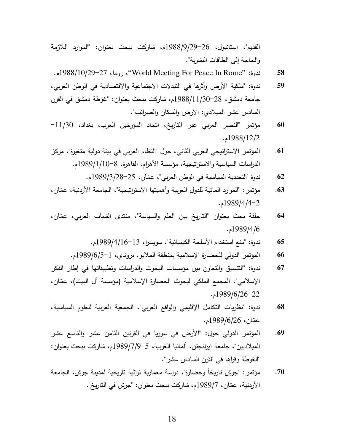القديم"، استانبول، 26–1988/9/29م، شاركت ببحث بعنوان: "الموارد اللازمة والحاجة إلى الطاقات البشرية".

- .1988/10/29627 / /"World Meeting For Peace In Rome" : . **58**
- 59. ندوة: "ملكية الأرض وأثرها في النبدلات الاجتماعية والاقتصادية في الوطن العربي، جامعة دمشق، 28–1988/11/30م، شاركت ببحث بعنوان: "غوطة دمشق في القرن السادس عشر الميلادي: الأرض والسكان والضرائب".
- 6<mark>0. م</mark>ؤتمر "النصر العربي عبر التاريخ، اتحاد المؤرخين العرب، بغداد، 11/30– . 1988/12/2
- 61. المؤتمر الاستراتيجي العربي الثاني، حول "النظام العربي في بيئة دولية متغيرة"، مركز الدراسات السياسية والاستراتيجية، مؤسسة الأهرام، القاهرة، 8–1989/1/100م.
	- 6**2**. ندوة "التعددية السياسية في الوطن العربي"، عمّان، 25–28/3/989م.
- 63. مؤتمر : "الموارد المائية للدول العربية وأهميتها الاستراتيجية"، الجامعة الأردنية، عمّان،  $.1989/4/4-2$
- 64. حلقة بحث بعنوان "الناريخ بين العلم والسياسة"، منتدى الشباب العربي، عمّان، . 1989/4/6
	- 65. ندوة: "منع استخدام الأسلحة الكيميائية"، سويسرا، 13–1989/4/16 .
	- 66. المؤتمر الدولي للحضارة الإسلامية بمنطقة الملايو ، بروناي، 1-1989/6/5-1.
- 67. ندوة: "النتسيق والنعاون بين مؤسسات البحوث والدراسات وتطبيقاتها في إطار الفكر الإسلامي"، المجمع الملكي لبحوث الحضارة الإسلامية (مؤسسة ال البيت)، عمّان،  $.1989/6/26-22$
- 68. ندوة: "نظريات النكامل الإقليمي والواقع العربي"، الجمعية العربية للعلوم السياسية، عمّان، 26/6/1989م.
- 69. المؤتمر الدولي حول: "الأرض في سوريا في القرنين الثامن عشر والتاسع عشر الميلاديين"، جامعة ايرلنجتن، ألمانيا الغربية، 5–1989/7/9 م، شاركت ببحث بعنوان: "الغوطة وقراها في القرن السادس عشر ".
- 70. مؤتمر : "جرش تاريخاً وحضارة"، دراسة معمارية تراثية تاريخية لمدينة جرش، الجامعة الأردنية، عمّان، 1989/7م، شاركت ببحث بعنوان: "جرش في التاريخ".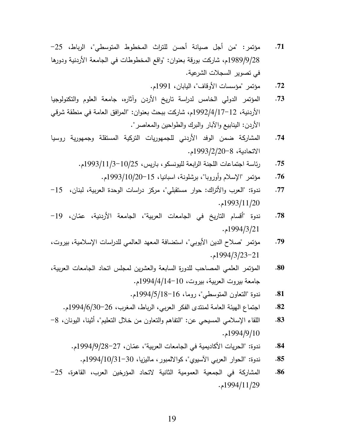- 71. مؤتمر : "من أجل صبيانة أحسن للتراث المخطوط المتوسطي"، الرباط، 25– 1989/9/28م، شاركت بورقة بعنوان: "واقع المخطوطات في الجامعة الأردنية ودورها في تصوير السجلات الشرعية.
	- 72. مؤتمر "مؤسسات الأوقاف"، اليابان، 1991م.
- 73. المؤتمر الدولي الخامس لدراسة تاريخ الأردن وآثاره، جامعة العلوم والتكنولوجيا الأردنية، 12−1/17/1997م، شاركت ببحث بعنوان: "المرافق العامة في منطقة شرقي الأردن: الينابيع والأبار والبرك والطواحين والمعاصر ".
- 74. المشاركة ضمن الوفد الأردني للجمهوريات النركية المستقلة وجمهورية روسيا الاتحادية، 8−293/2/20م.
	- 75. رئاسة اجتماعات اللجنة الرابعة لليونسكو ، باريس، 10/25=1/11/3993م.
		- 7**6. مؤنمر "الإسلام وأوروبا"، برشلونة،** اسبانيا، 15–2993/10/20م.
- 77. ندوة: "العرب والأتراك: حوار مستقبلي"، مركز دراسات الوحدة العربية، لبنان، 15– . 1993/11/20
- 78. ندوة "أقسام التاريخ في الجامعات العربية"، الجامعة الأردنية، عمّان، 19– . 1994/3/21
- 79. مؤتمر "صلاح الدين الأيوبي"، استضافة المعهد العالمي للدراسات الإسلامية، بيروت،  $.1994/3/23-21$
- <mark>80. المؤتمر العلمي المصاحب لل</mark>دورة السابعة والعشرين لمجلس اتحاد الجامعات العربية، جامعة بيروت العربية، بيروت، 10−14/4/14م.
	- 81. ندوة "التعاون المتوسطي"، روما، 16–1994/5/18م.
	- 82. اجتماع الهيئة العامة لمنتدى الفكر العربي، الرباط، المغرب، 26–994/6/30م.
- 83. اللقاء الإسلامي المسيحي عن: "النفاهم والنعاون من خلال النعليم"، أنثينا، اليونان، 8– . 1994/9/10
	- 84. ندوة: "الحريات الأكاديمية في الجامعات العربية"، عمّان، 27–98/9/94/9/28م.
		- 85. ندوة: "الحوار العربي الآسيوي"، كوالالمبور ، ماليزيا، 30–1994/10/31م.
- 8<mark>6.</mark> المشاركة في الجمعية العمومية الثانية لاتحاد المؤرخين العرب، القاهرة، 25– . 1994/11/29